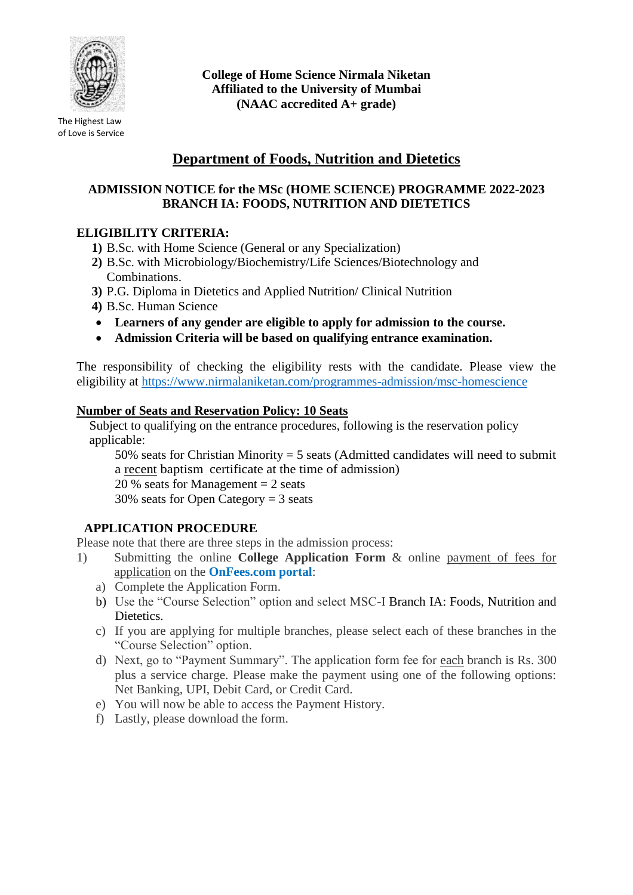

The Highest Law of Love is Service **College of Home Science Nirmala Niketan Affiliated to the University of Mumbai (NAAC accredited A+ grade)**

# **Department of Foods, Nutrition and Dietetics**

#### **ADMISSION NOTICE for the MSc (HOME SCIENCE) PROGRAMME 2022-2023 BRANCH IA: FOODS, NUTRITION AND DIETETICS**

## **ELIGIBILITY CRITERIA:**

- **1)** B.Sc. with Home Science (General or any Specialization)
- **2)** B.Sc. with Microbiology/Biochemistry/Life Sciences/Biotechnology and Combinations.
- **3)** P.G. Diploma in Dietetics and Applied Nutrition/ Clinical Nutrition
- **4)** B.Sc. Human Science
- **Learners of any gender are eligible to apply for admission to the course.**
- **Admission Criteria will be based on qualifying entrance examination.**

The responsibility of checking the eligibility rests with the candidate. Please view the eligibility at<https://www.nirmalaniketan.com/programmes-admission/msc-homescience>

#### **Number of Seats and Reservation Policy: 10 Seats**

Subject to qualifying on the entrance procedures, following is the reservation policy applicable:

50% seats for Christian Minority = 5 seats (Admitted candidates will need to submit a recent baptism certificate at the time of admission)

20 % seats for Management  $= 2$  seats

30% seats for Open Category = 3 seats

## **APPLICATION PROCEDURE**

Please note that there are three steps in the admission process:

- 1) Submitting the online **College Application Form** & online payment of fees for application on the **OnFees.com portal**:
	- a) Complete the Application Form.
	- b) Use the "Course Selection" option and select MSC-I Branch IA: Foods, Nutrition and Dietetics.
	- c) If you are applying for multiple branches, please select each of these branches in the "Course Selection" option.
	- d) Next, go to "Payment Summary". The application form fee for each branch is Rs. 300 plus a service charge. Please make the payment using one of the following options: Net Banking, UPI, Debit Card, or Credit Card.
	- e) You will now be able to access the Payment History.
	- f) Lastly, please download the form.